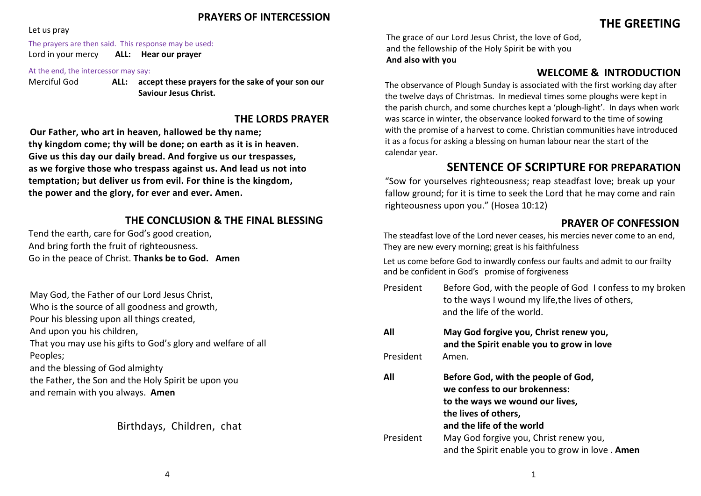### **PRAYERS OF INTERCESSION**

### Let us pray

### The prayers are then said. This response may be used:

Lord in your mercy **ALL: Hear our prayer**

#### At the end, the intercessor may say:

Merciful God **ALL: accept these prayers for the sake of your son our Saviour Jesus Christ.**

### **THE LORDS PRAYER**

**Our Father, who art in heaven, hallowed be thy name; thy kingdom come; thy will be done; on earth as it is in heaven. Give us this day our daily bread. And forgive us our trespasses, as we forgive those who trespass against us. And lead us not into temptation; but deliver us from evil. For thine is the kingdom, the power and the glory, for ever and ever. Amen.**

## **THE CONCLUSION & THE FINAL BLESSING**

Tend the earth, care for God's good creation, And bring forth the fruit of righteousness. Go in the peace of Christ. **Thanks be to God. Amen**

May God, the Father of our Lord Jesus Christ, Who is the source of all goodness and growth, Pour his blessing upon all things created, And upon you his children, That you may use his gifts to God's glory and welfare of all Peoples; and the blessing of God almighty the Father, the Son and the Holy Spirit be upon you and remain with you always. **Amen**

Birthdays, Children, chat

 The grace of our Lord Jesus Christ, the love of God, and the fellowship of the Holy Spirit be with you **And also with you**

# **WELCOME & INTRODUCTION**

The observance of Plough Sunday is associated with the first working day after the twelve days of Christmas. In medieval times some ploughs were kept in the parish church, and some churches kept a 'plough-light'. In days when work was scarce in winter, the observance looked forward to the time of sowing with the promise of a harvest to come. Christian communities have introduced it as a focus for asking a blessing on human labour near the start of the calendar year.

# **SENTENCE OF SCRIPTURE FOR PREPARATION**

"Sow for yourselves righteousness; reap steadfast love; break up your fallow ground; for it is time to seek the Lord that he may come and rain righteousness upon you." (Hosea 10:12)

# **PRAYER OF CONFESSION**

The steadfast love of the Lord never ceases, his mercies never come to an end, They are new every morning; great is his faithfulness

Let us come before God to inwardly confess our faults and admit to our frailty and be confident in God's promise of forgiveness

- President Before God, with the people of God I confess to my broken to the ways I wound my life,the lives of others, and the life of the world.
- **All May God forgive you, Christ renew you, and the Spirit enable you to grow in love** President Amen.
- **All Before God, with the people of God, we confess to our brokenness: to the ways we wound our lives, the lives of others, and the life of the world** President May God forgive you, Christ renew you, and the Spirit enable you to grow in love . **Amen**

# **THE GREETING**